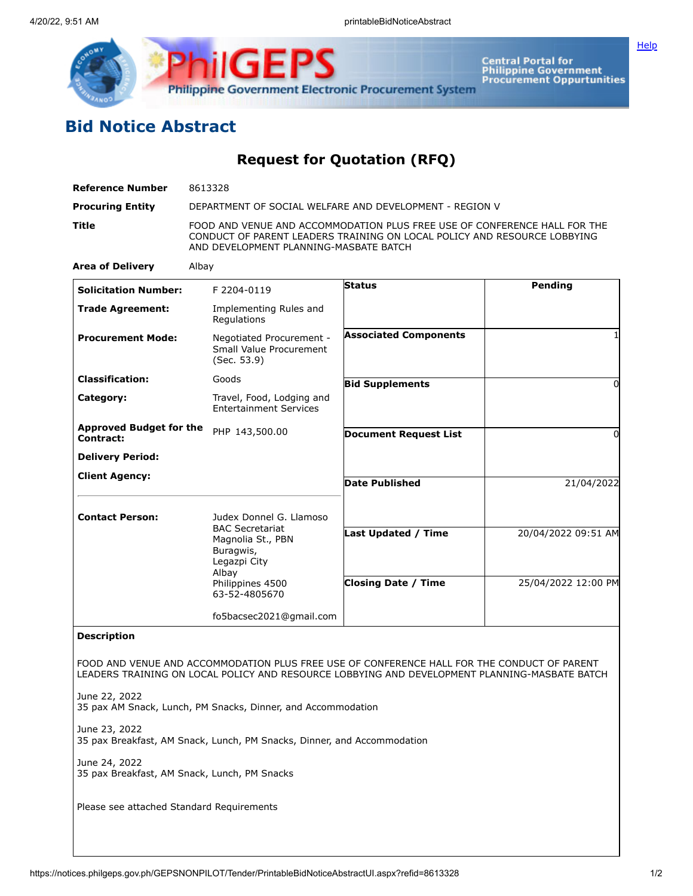

**ilGEPS** Central Portal for<br>Philippine Government<br>Procurement Oppurtunities **Philippine Government Electronic Procurement System** 

## **Bid Notice Abstract**

**Request for Quotation (RFQ)**

| <b>Reference Number</b>                                       | 8613328                                                                                                                                                                                         |                              |                     |
|---------------------------------------------------------------|-------------------------------------------------------------------------------------------------------------------------------------------------------------------------------------------------|------------------------------|---------------------|
| <b>Procuring Entity</b>                                       | DEPARTMENT OF SOCIAL WELFARE AND DEVELOPMENT - REGION V                                                                                                                                         |                              |                     |
| Title                                                         | FOOD AND VENUE AND ACCOMMODATION PLUS FREE USE OF CONFERENCE HALL FOR THE<br>CONDUCT OF PARENT LEADERS TRAINING ON LOCAL POLICY AND RESOURCE LOBBYING<br>AND DEVELOPMENT PLANNING-MASBATE BATCH |                              |                     |
| <b>Area of Delivery</b>                                       | Albay                                                                                                                                                                                           |                              |                     |
| <b>Solicitation Number:</b>                                   | F 2204-0119                                                                                                                                                                                     | <b>Status</b>                | Pending             |
| <b>Trade Agreement:</b>                                       | Implementing Rules and<br>Regulations                                                                                                                                                           |                              |                     |
| <b>Procurement Mode:</b>                                      | Negotiated Procurement -<br>Small Value Procurement<br>(Sec. 53.9)                                                                                                                              | <b>Associated Components</b> |                     |
| <b>Classification:</b>                                        | Goods                                                                                                                                                                                           | <b>Bid Supplements</b>       | $\Omega$            |
| Category:                                                     | Travel, Food, Lodging and<br><b>Entertainment Services</b>                                                                                                                                      |                              |                     |
| <b>Approved Budget for the</b><br>Contract:                   | PHP 143,500.00                                                                                                                                                                                  | <b>Document Request List</b> | 0                   |
| <b>Delivery Period:</b>                                       |                                                                                                                                                                                                 |                              |                     |
| <b>Client Agency:</b>                                         |                                                                                                                                                                                                 | <b>Date Published</b>        | 21/04/2022          |
|                                                               |                                                                                                                                                                                                 |                              |                     |
| <b>Contact Person:</b>                                        | Judex Donnel G. Llamoso<br><b>BAC Secretariat</b><br>Magnolia St., PBN<br>Buragwis,<br>Legazpi City<br>Albay<br>Philippines 4500<br>63-52-4805670                                               |                              |                     |
|                                                               |                                                                                                                                                                                                 | Last Updated / Time          | 20/04/2022 09:51 AM |
|                                                               |                                                                                                                                                                                                 | <b>Closing Date / Time</b>   | 25/04/2022 12:00 PM |
|                                                               | fo5bacsec2021@gmail.com                                                                                                                                                                         |                              |                     |
| <b>Description</b>                                            |                                                                                                                                                                                                 |                              |                     |
|                                                               | FOOD AND VENUE AND ACCOMMODATION PLUS FREE USE OF CONFERENCE HALL FOR THE CONDUCT OF PARENT<br>LEADERS TRAINING ON LOCAL POLICY AND RESOURCE LOBBYING AND DEVELOPMENT PLANNING-MASBATE BATCH    |                              |                     |
| June 22, 2022                                                 | 35 pax AM Snack, Lunch, PM Snacks, Dinner, and Accommodation                                                                                                                                    |                              |                     |
| June 23, 2022                                                 | 35 pax Breakfast, AM Snack, Lunch, PM Snacks, Dinner, and Accommodation                                                                                                                         |                              |                     |
| June 24, 2022<br>35 pax Breakfast, AM Snack, Lunch, PM Snacks |                                                                                                                                                                                                 |                              |                     |
| Please see attached Standard Requirements                     |                                                                                                                                                                                                 |                              |                     |